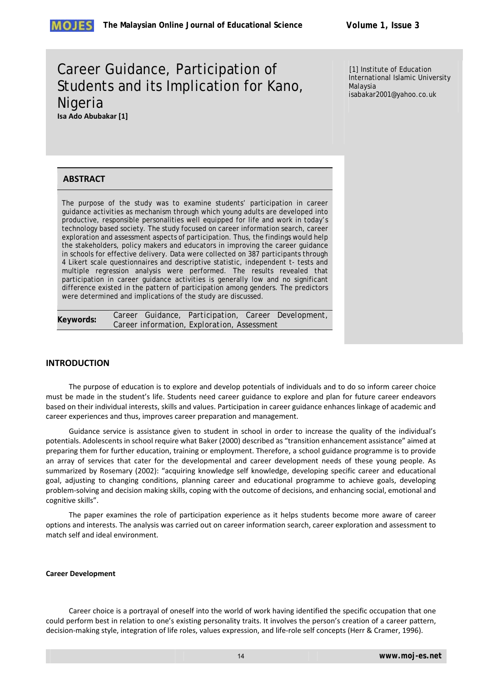# Career Guidance, Participation of Students and its Implication for Kano, **Nigeria Isa Ado Abubakar [1]**

[1] Institute of Education International Islamic University Malaysia isabakar2001@yahoo.co.uk

# **ABSTRACT**

The purpose of the study was to examine students' participation in career guidance activities as mechanism through which young adults are developed into productive, responsible personalities well equipped for life and work in today's technology based society. The study focused on career information search, career exploration and assessment aspects of participation. Thus, the findings would help the stakeholders, policy makers and educators in improving the career guidance in schools for effective delivery. Data were collected on 387 participants through 4 Likert scale questionnaires and descriptive statistic, independent t- tests and multiple regression analysis were performed. The results revealed that participation in career guidance activities is generally low and no significant difference existed in the pattern of participation among genders. The predictors were determined and implications of the study are discussed.

**Keywords:** *Career Guidance, Participation, Career Development, Career information, Exploration, Assessment* 

## **INTRODUCTION**

The purpose of education is to explore and develop potentials of individuals and to do so inform career choice must be made in the student's life. Students need career guidance to explore and plan for future career endeavors based on their individual interests, skills and values. Participation in career guidance enhances linkage of academic and career experiences and thus, improves career preparation and management.

Guidance service is assistance given to student in school in order to increase the quality of the individual's potentials. Adolescents in school require what Baker (2000) described as "transition enhancement assistance" aimed at preparing them for further education, training or employment. Therefore, a school guidance programme is to provide an array of services that cater for the developmental and career development needs of these young people. As summarized by Rosemary (2002): "acquiring knowledge self knowledge, developing specific career and educational goal, adjusting to changing conditions, planning career and educational programme to achieve goals, developing problem‐solving and decision making skills, coping with the outcome of decisions, and enhancing social, emotional and cognitive skills".

The paper examines the role of participation experience as it helps students become more aware of career options and interests. The analysis was carried out on career information search, career exploration and assessment to match self and ideal environment.

#### **Career Development**

Career choice is a portrayal of oneself into the world of work having identified the specific occupation that one could perform best in relation to one's existing personality traits. It involves the person's creation of a career pattern, decision‐making style, integration of life roles, values expression, and life‐role self concepts (Herr & Cramer, 1996).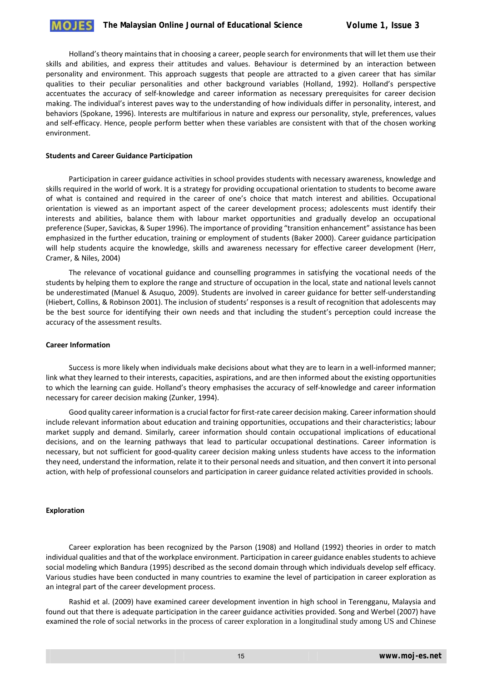Holland's theory maintains that in choosing a career, people search for environments that will let them use their skills and abilities, and express their attitudes and values. Behaviour is determined by an interaction between personality and environment. This approach suggests that people are attracted to a given career that has similar qualities to their peculiar personalities and other background variables (Holland, 1992). Holland's perspective accentuates the accuracy of self‐knowledge and career information as necessary prerequisites for career decision making. The individual's interest paves way to the understanding of how individuals differ in personality, interest, and behaviors (Spokane, 1996). Interests are multifarious in nature and express our personality, style, preferences, values and self-efficacy. Hence, people perform better when these variables are consistent with that of the chosen working environment.

#### **Students and Career Guidance Participation**

Participation in career guidance activities in school provides students with necessary awareness, knowledge and skills required in the world of work. It is a strategy for providing occupational orientation to students to become aware of what is contained and required in the career of one's choice that match interest and abilities. Occupational orientation is viewed as an important aspect of the career development process; adolescents must identify their interests and abilities, balance them with labour market opportunities and gradually develop an occupational preference (Super, Savickas, & Super 1996). The importance of providing "transition enhancement" assistance has been emphasized in the further education, training or employment of students (Baker 2000). Career guidance participation will help students acquire the knowledge, skills and awareness necessary for effective career development (Herr, Cramer, & Niles, 2004)

The relevance of vocational guidance and counselling programmes in satisfying the vocational needs of the students by helping them to explore the range and structure of occupation in the local, state and national levels cannot be underestimated (Manuel & Asuquo, 2009). Students are involved in career guidance for better self-understanding (Hiebert, Collins, & Robinson 2001). The inclusion of students' responses is a result of recognition that adolescents may be the best source for identifying their own needs and that including the student's perception could increase the accuracy of the assessment results.

#### **Career Information**

Success is more likely when individuals make decisions about what they are to learn in a well‐informed manner; link what they learned to their interests, capacities, aspirations, and are then informed about the existing opportunities to which the learning can guide. Holland's theory emphasises the accuracy of self-knowledge and career information necessary for career decision making (Zunker, 1994).

Good quality career information is a crucial factor for first-rate career decision making. Career information should include relevant information about education and training opportunities, occupations and their characteristics; labour market supply and demand. Similarly, career information should contain occupational implications of educational decisions, and on the learning pathways that lead to particular occupational destinations. Career information is necessary, but not sufficient for good-quality career decision making unless students have access to the information they need, understand the information, relate it to their personal needs and situation, and then convert it into personal action, with help of professional counselors and participation in career guidance related activities provided in schools.

#### **Exploration**

Career exploration has been recognized by the Parson (1908) and Holland (1992) theories in order to match individual qualities and that of the workplace environment. Participation in career guidance enables students to achieve social modeling which Bandura (1995) described as the second domain through which individuals develop self efficacy. Various studies have been conducted in many countries to examine the level of participation in career exploration as an integral part of the career development process.

Rashid et al. (2009) have examined career development invention in high school in Terengganu, Malaysia and found out that there is adequate participation in the career guidance activities provided. Song and Werbel (2007) have examined the role of social networks in the process of career exploration in a longitudinal study among US and Chinese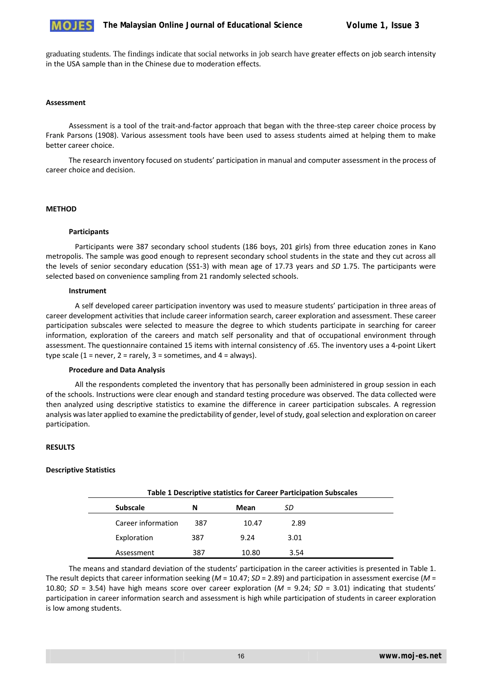

graduating students. The findings indicate that social networks in job search have greater effects on job search intensity in the USA sample than in the Chinese due to moderation effects.

### **Assessment**

Assessment is a tool of the trait‐and‐factor approach that began with the three‐step career choice process by Frank Parsons (1908). Various assessment tools have been used to assess students aimed at helping them to make better career choice.

The research inventory focused on students' participation in manual and computer assessment in the process of career choice and decision.

#### **METHOD**

#### **Participants**

Participants were 387 secondary school students (186 boys, 201 girls) from three education zones in Kano metropolis. The sample was good enough to represent secondary school students in the state and they cut across all the levels of senior secondary education (SS1‐3) with mean age of 17.73 years and *SD* 1.75. The participants were selected based on convenience sampling from 21 randomly selected schools.

#### **Instrument**

A self developed career participation inventory was used to measure students' participation in three areas of career development activities that include career information search, career exploration and assessment. These career participation subscales were selected to measure the degree to which students participate in searching for career information, exploration of the careers and match self personality and that of occupational environment through assessment. The questionnaire contained 15 items with internal consistency of .65. The inventory uses a 4‐point Likert type scale (1 = never, 2 = rarely, 3 = sometimes, and 4 = always).

#### **Procedure and Data Analysis**

All the respondents completed the inventory that has personally been administered in group session in each of the schools. Instructions were clear enough and standard testing procedure was observed. The data collected were then analyzed using descriptive statistics to examine the difference in career participation subscales. A regression analysis was later applied to examine the predictability of gender, level of study, goal selection and exploration on career participation.

### **RESULTS**

### **Descriptive Statistics**

|                    | Table 1 Descriptive statistics for Career Participation Subscales |       |      |  |  |  |  |
|--------------------|-------------------------------------------------------------------|-------|------|--|--|--|--|
| <b>Subscale</b>    | N                                                                 | Mean  | SD   |  |  |  |  |
| Career information | 387                                                               | 10.47 | 2.89 |  |  |  |  |
| Exploration        | 387                                                               | 9.24  | 3.01 |  |  |  |  |
| Assessment         | 387                                                               | 10.80 | 3.54 |  |  |  |  |

The means and standard deviation of the students' participation in the career activities is presented in Table 1. The result depicts that career information seeking (*M* = 10.47; *SD* = 2.89) and participation in assessment exercise (*M* = 10.80;  $SD = 3.54$ ) have high means score over career exploration ( $M = 9.24$ ;  $SD = 3.01$ ) indicating that students' participation in career information search and assessment is high while participation of students in career exploration is low among students.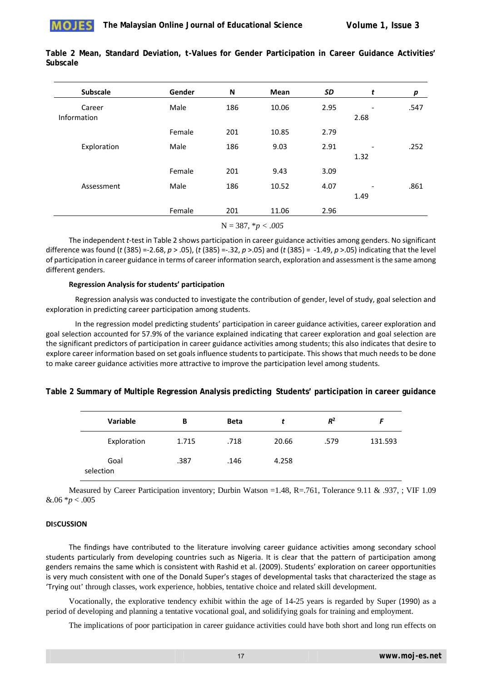

| <b>Subscale</b> | Gender | N   | <b>Mean</b> | SD   | t    | p    |
|-----------------|--------|-----|-------------|------|------|------|
| Career          | Male   | 186 | 10.06       | 2.95 |      | .547 |
| Information     |        |     |             |      | 2.68 |      |
|                 | Female | 201 | 10.85       | 2.79 |      |      |
| Exploration     | Male   | 186 | 9.03        | 2.91 |      | .252 |
|                 |        |     |             |      | 1.32 |      |
|                 | Female | 201 | 9.43        | 3.09 |      |      |
| Assessment      | Male   | 186 | 10.52       | 4.07 |      | .861 |
|                 |        |     |             |      | 1.49 |      |
|                 | Female | 201 | 11.06       | 2.96 |      |      |

**Table 2 Mean, Standard Deviation,** *t***-Values for Gender Participation in Career Guidance Activities' Subscale** 

N = 387, \**p < .005*

The independent *t*-test in Table 2 shows participation in career guidance activities among genders. No significant difference was found (*t* (385) =‐2.68, *p* > .05), (*t* (385) =‐.32, *p* >.05) and (*t* (385) = ‐1.49, *p* >.05) indicating that the level of participation in career guidance in terms of career information search, exploration and assessment is the same among different genders.

#### **Regression Analysis for students' participation**

Regression analysis was conducted to investigate the contribution of gender, level of study, goal selection and exploration in predicting career participation among students.

In the regression model predicting students' participation in career guidance activities, career exploration and goal selection accounted for 57.9% of the variance explained indicating that career exploration and goal selection are the significant predictors of participation in career guidance activities among students; this also indicates that desire to explore career information based on set goals influence students to participate. This shows that much needs to be done to make career guidance activities more attractive to improve the participation level among students.

| Table 2 Summary of Multiple Regression Analysis predicting Students' participation in career guidance |  |  |  |  |  |
|-------------------------------------------------------------------------------------------------------|--|--|--|--|--|
|                                                                                                       |  |  |  |  |  |

| <b>Variable</b>   | В     | <b>Beta</b> |       | $R^2$ |         |
|-------------------|-------|-------------|-------|-------|---------|
| Exploration       | 1.715 | .718        | 20.66 | .579  | 131.593 |
| Goal<br>selection | .387  | .146        | 4.258 |       |         |

Measured by Career Participation inventory; Durbin Watson =1.48, R=.761, Tolerance 9.11 & .937, ; VIF 1.09  $&.06 * p < .005$ 

### **DI**s**CUSSION**

The findings have contributed to the literature involving career guidance activities among secondary school students particularly from developing countries such as Nigeria. It is clear that the pattern of participation among genders remains the same which is consistent with Rashid et al. (2009). Students' exploration on career opportunities is very much consistent with one of the Donald Super's stages of developmental tasks that characterized the stage as 'Trying out' through classes, work experience, hobbies, tentative choice and related skill development.

Vocationally, the explorative tendency exhibit within the age of 14-25 years is regarded by Super (1990) as a period of developing and planning a tentative vocational goal, and solidifying goals for training and employment.

The implications of poor participation in career guidance activities could have both short and long run effects on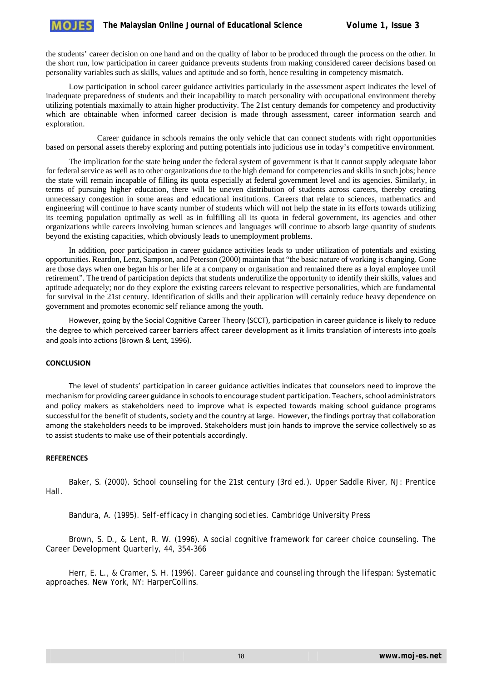the students' career decision on one hand and on the quality of labor to be produced through the process on the other. In the short run, low participation in career guidance prevents students from making considered career decisions based on personality variables such as skills, values and aptitude and so forth, hence resulting in competency mismatch.

Low participation in school career guidance activities particularly in the assessment aspect indicates the level of inadequate preparedness of students and their incapability to match personality with occupational environment thereby utilizing potentials maximally to attain higher productivity. The 21st century demands for competency and productivity which are obtainable when informed career decision is made through assessment, career information search and exploration.

 Career guidance in schools remains the only vehicle that can connect students with right opportunities based on personal assets thereby exploring and putting potentials into judicious use in today's competitive environment.

The implication for the state being under the federal system of government is that it cannot supply adequate labor for federal service as well as to other organizations due to the high demand for competencies and skills in such jobs; hence the state will remain incapable of filling its quota especially at federal government level and its agencies. Similarly, in terms of pursuing higher education, there will be uneven distribution of students across careers, thereby creating unnecessary congestion in some areas and educational institutions. Careers that relate to sciences, mathematics and engineering will continue to have scanty number of students which will not help the state in its efforts towards utilizing its teeming population optimally as well as in fulfilling all its quota in federal government, its agencies and other organizations while careers involving human sciences and languages will continue to absorb large quantity of students beyond the existing capacities, which obviously leads to unemployment problems.

In addition, poor participation in career guidance activities leads to under utilization of potentials and existing opportunities. Reardon, Lenz, Sampson, and Peterson (2000) maintain that "the basic nature of working is changing. Gone are those days when one began his or her life at a company or organisation and remained there as a loyal employee until retirement". The trend of participation depicts that students underutilize the opportunity to identify their skills, values and aptitude adequately; nor do they explore the existing careers relevant to respective personalities, which are fundamental for survival in the 21st century. Identification of skills and their application will certainly reduce heavy dependence on government and promotes economic self reliance among the youth.

However, going by the Social Cognitive Career Theory (SCCT), participation in career guidance is likely to reduce the degree to which perceived career barriers affect career development as it limits translation of interests into goals and goals into actions (Brown & Lent, 1996).

### **CONCLUSION**

The level of students' participation in career guidance activities indicates that counselors need to improve the mechanism for providing career guidance in schools to encourage student participation. Teachers, school administrators and policy makers as stakeholders need to improve what is expected towards making school guidance programs successful for the benefit of students, society and the country at large. However, the findings portray that collaboration among the stakeholders needs to be improved. Stakeholders must join hands to improve the service collectively so as to assist students to make use of their potentials accordingly.

#### **REFERENCES**

Baker, S. (2000). *School counseling for the 21st century* (3rd ed.). Upper Saddle River, NJ: Prentice Hall.

Bandura, A. (1995). *Self-efficacy in changing societies.* Cambridge University Press

Brown, S. D., & Lent, R. W. (1996). A social cognitive framework for career choice counseling. *The Career Development Quarterly, 44,* 354-366

Herr, E. L., & Cramer, S. H. (1996). *Career guidance and counseling through the lifespan: Systematic approaches.* New York, NY: HarperCollins.